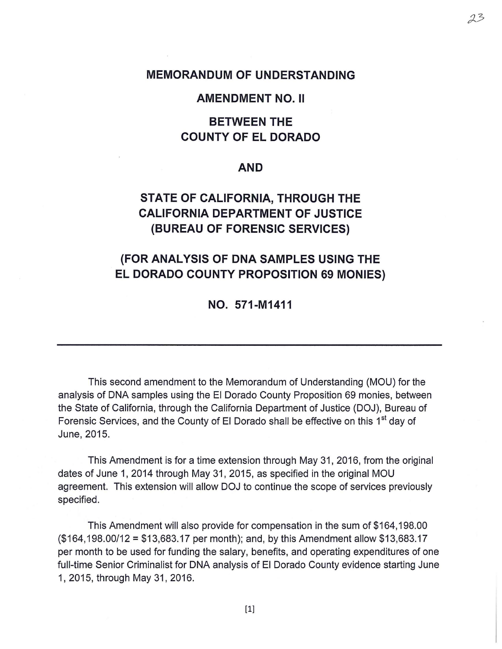### **MEMORANDUM OF UNDERSTANDING**

#### **AMENDMENT NO. II**

### **BETWEEN THE COUNTY OF EL DORADO**

#### **AND**

## **STATE OF CALIFORNIA, THROUGH THE CALIFORNIA DEPARTMENT OF JUSTICE (BUREAU OF FORENSIC SERVICES)**

# **(FOR ANALYSIS OF DNA SAMPLES USING THE EL DORADO COUNTY PROPOSITION 69 MONIES)**

**NO. 571-M1411** 

This second amendment to the Memorandum of Understanding (MOU) for the analysis of DNA samples using the El Dorado County Proposition 69 monies, between the State of California, through the California Department of Justice (DOJ), Bureau of Forensic Services, and the County of El Dorado shall be effective on this 1<sup>st</sup> day of June, 2015.

This Amendment is for a time extension through May 31, 2016, from the original dates of June 1, 2014 through May 31, 2015, as specified in the original MOU agreement. This extension will allow DOJ to continue the scope of services previously specified.

This Amendment will also provide for compensation in the sum of \$164,198.00 (\$164, 198.00/12 = \$13,683.17 per month); and, by this Amendment allow \$13,683.17 per month to be used for funding the salary, benefits, and operating expenditures of one full-time Senior Criminalist for DNA analysis of El Dorado County evidence starting June 1, 2015, through May 31,2016.

[1]